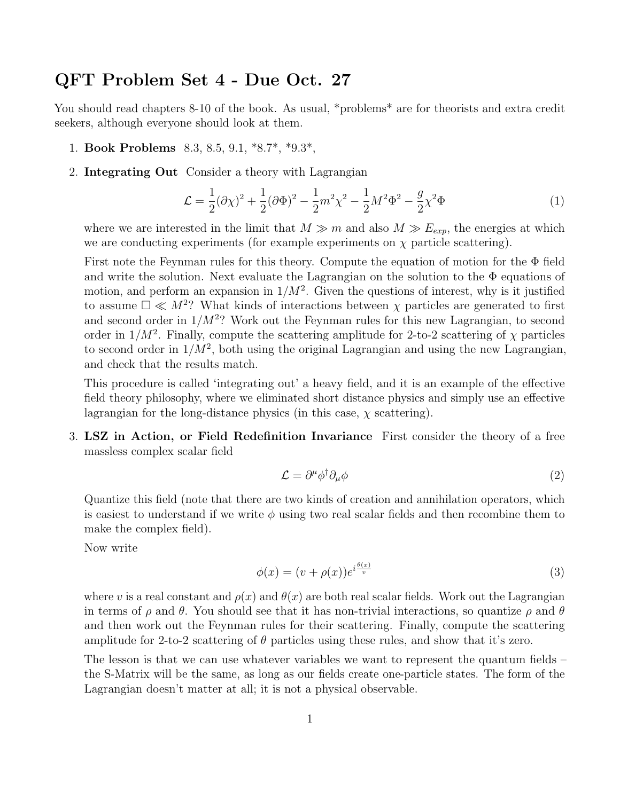## QFT Problem Set 4 - Due Oct. 27

You should read chapters 8-10 of the book. As usual, \*problems\* are for theorists and extra credit seekers, although everyone should look at them.

- 1. Book Problems 8.3, 8.5, 9.1, \*8.7\*, \*9.3\*,
- 2. Integrating Out Consider a theory with Lagrangian

$$
\mathcal{L} = \frac{1}{2}(\partial \chi)^2 + \frac{1}{2}(\partial \Phi)^2 - \frac{1}{2}m^2\chi^2 - \frac{1}{2}M^2\Phi^2 - \frac{g}{2}\chi^2\Phi
$$
 (1)

where we are interested in the limit that  $M \gg m$  and also  $M \gg E_{exp}$ , the energies at which we are conducting experiments (for example experiments on  $\chi$  particle scattering).

First note the Feynman rules for this theory. Compute the equation of motion for the Φ field and write the solution. Next evaluate the Lagrangian on the solution to the  $\Phi$  equations of motion, and perform an expansion in  $1/M^2$ . Given the questions of interest, why is it justified to assume  $\Box \ll M^2$ ? What kinds of interactions between  $\chi$  particles are generated to first and second order in  $1/M^2$ ? Work out the Feynman rules for this new Lagrangian, to second order in  $1/M^2$ . Finally, compute the scattering amplitude for 2-to-2 scattering of  $\chi$  particles to second order in  $1/M^2$ , both using the original Lagrangian and using the new Lagrangian, and check that the results match.

This procedure is called 'integrating out' a heavy field, and it is an example of the effective field theory philosophy, where we eliminated short distance physics and simply use an effective lagrangian for the long-distance physics (in this case,  $\chi$  scattering).

3. LSZ in Action, or Field Redefinition Invariance First consider the theory of a free massless complex scalar field

$$
\mathcal{L} = \partial^{\mu} \phi^{\dagger} \partial_{\mu} \phi \tag{2}
$$

Quantize this field (note that there are two kinds of creation and annihilation operators, which is easiest to understand if we write  $\phi$  using two real scalar fields and then recombine them to make the complex field).

Now write

$$
\phi(x) = (v + \rho(x))e^{i\frac{\theta(x)}{v}}
$$
\n(3)

where v is a real constant and  $\rho(x)$  and  $\theta(x)$  are both real scalar fields. Work out the Lagrangian in terms of  $\rho$  and  $\theta$ . You should see that it has non-trivial interactions, so quantize  $\rho$  and  $\theta$ and then work out the Feynman rules for their scattering. Finally, compute the scattering amplitude for 2-to-2 scattering of  $\theta$  particles using these rules, and show that it's zero.

The lesson is that we can use whatever variables we want to represent the quantum fields – the S-Matrix will be the same, as long as our fields create one-particle states. The form of the Lagrangian doesn't matter at all; it is not a physical observable.